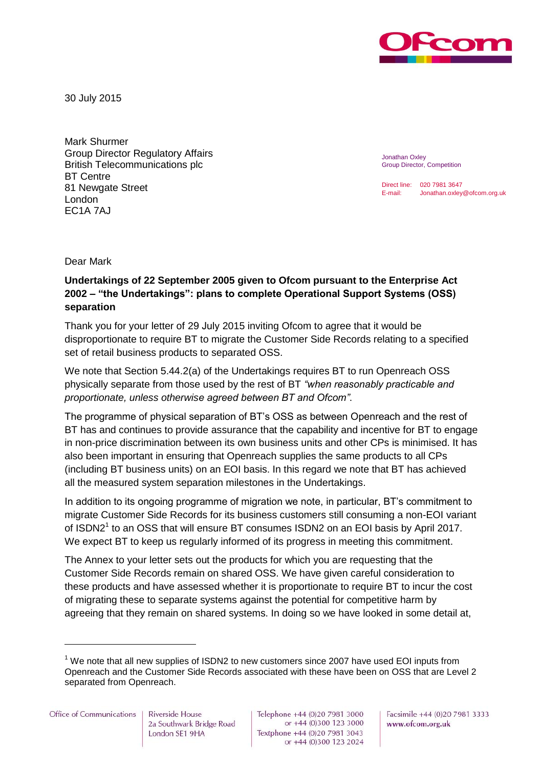

30 July 2015

Mark Shurmer Group Director Regulatory Affairs British Telecommunications plc BT Centre 81 Newgate Street London EC1A 7AJ

Jonathan Oxley Group Director, Competition

Direct line: 020 7981 3647 E-mail: Jonathan.oxley@ofcom.org.uk

Dear Mark

## **Undertakings of 22 September 2005 given to Ofcom pursuant to the Enterprise Act 2002 – "the Undertakings": plans to complete Operational Support Systems (OSS) separation**

Thank you for your letter of 29 July 2015 inviting Ofcom to agree that it would be disproportionate to require BT to migrate the Customer Side Records relating to a specified set of retail business products to separated OSS.

We note that Section 5.44.2(a) of the Undertakings requires BT to run Openreach OSS physically separate from those used by the rest of BT *"when reasonably practicable and proportionate, unless otherwise agreed between BT and Ofcom"*.

The programme of physical separation of BT's OSS as between Openreach and the rest of BT has and continues to provide assurance that the capability and incentive for BT to engage in non-price discrimination between its own business units and other CPs is minimised. It has also been important in ensuring that Openreach supplies the same products to all CPs (including BT business units) on an EOI basis. In this regard we note that BT has achieved all the measured system separation milestones in the Undertakings.

In addition to its ongoing programme of migration we note, in particular, BT's commitment to migrate Customer Side Records for its business customers still consuming a non-EOI variant of ISDN2<sup>1</sup> to an OSS that will ensure BT consumes ISDN2 on an EOI basis by April 2017. We expect BT to keep us regularly informed of its progress in meeting this commitment.

The Annex to your letter sets out the products for which you are requesting that the Customer Side Records remain on shared OSS. We have given careful consideration to these products and have assessed whether it is proportionate to require BT to incur the cost of migrating these to separate systems against the potential for competitive harm by agreeing that they remain on shared systems. In doing so we have looked in some detail at,

Riverside House 2a Southwark Bridge Road London SE1 9HA

Telephone +44 (0)20 7981 3000 or +44 (0)300 123 3000 Textphone +44 (0)20 7981 3043 or +44 (0)300 123 2024 Facsimile +44 (0)20 7981 3333 www.ofcom.org.uk

 $1$  We note that all new supplies of ISDN2 to new customers since 2007 have used EOI inputs from Openreach and the Customer Side Records associated with these have been on OSS that are Level 2 separated from Openreach.